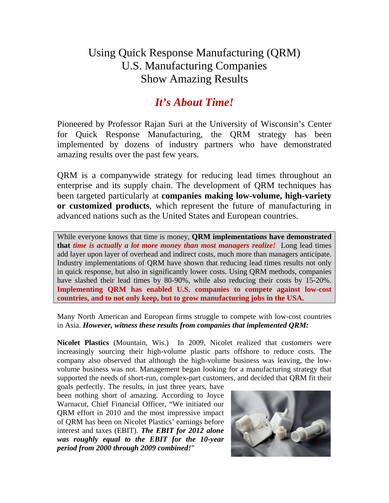## Using Quick Response Manufacturing (QRM) U.S. Manufacturing Companies Show Amazing Results

## *It's About Time!*

Pioneered by Professor Rajan Suri at the University of Wisconsin's Center for Quick Response Manufacturing, the QRM strategy has been implemented by dozens of industry partners who have demonstrated amazing results over the past few years.

QRM is a companywide strategy for reducing lead times throughout an enterprise and its supply chain. The development of QRM techniques has been targeted particularly at **companies making low-volume, high-variety or customized products**, which represent the future of manufacturing in advanced nations such as the United States and European countries.

While everyone knows that time is money, **QRM implementations have demonstrated that** *time is actually a lot more money than most managers realize!* Long lead times add layer upon layer of overhead and indirect costs, much more than managers anticipate. Industry implementations of QRM have shown that reducing lead times results not only in quick response, but also in significantly lower costs. Using QRM methods, companies have slashed their lead times by 80-90%, while also reducing their costs by 15-20%. **Implementing QRM has enabled U.S. companies to compete against low-cost countries, and to not only keep, but to grow manufacturing jobs in the USA.**

Many North American and European firms struggle to compete with low-cost countries in Asia. *However, witness these results from companies that implemented QRM:* 

**Nicolet Plastics** (Mountain, Wis.) In 2009, Nicolet realized that customers were increasingly sourcing their high-volume plastic parts offshore to reduce costs. The company also observed that although the high-volume business was leaving, the lowvolume business was not. Management began looking for a manufacturing strategy that supported the needs of short-run, complex-part customers, and decided that QRM fit their

goals perfectly. The results, in just three years, have been nothing short of amazing. According to Joyce Warnacut, Chief Financial Officer, "We initiated our QRM effort in 2010 and the most impressive impact of QRM has been on Nicolet Plastics' earnings before interest and taxes (EBIT). *The EBIT for 2012 alone was roughly equal to the EBIT for the 10-year period from 2000 through 2009 combined!*"